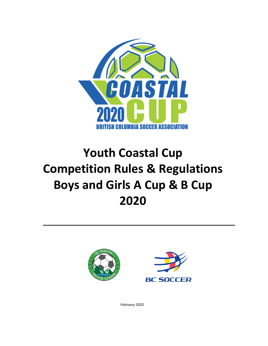

# **Youth Coastal Cup Competition Rules & Regulations Boys and Girls A Cup & B Cup 2020**





*February 2020*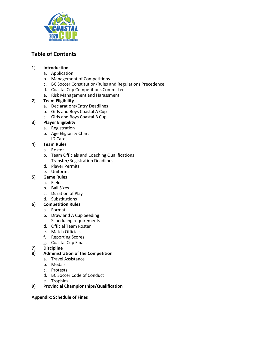

## **Table of Contents**

## **1) Introduction**

- a. Application
- b. Management of Competitions
- c. BC Soccer Constitution/Rules and Regulations Precedence
- d. Coastal Cup Competitions Committee
- e. Risk Management and Harassment

## **2) Team Eligibility**

- a. Declarations/Entry Deadlines
- b. Girls and Boys Coastal A Cup
- c. Girls and Boys Coastal B Cup

## **3) Player Eligibility**

- a. Registration
- b. Age Eligibility Chart
- c. ID Cards
- **4) Team Rules** 
	- a. Roster
	- b. Team Officials and Coaching Qualifications
	- c. Transfer/Registration Deadlines
	- d. Player Permits
	- e. Uniforms

## **5) Game Rules**

- a. Field
- b. Ball Sizes
- c. Duration of Play
- d. Substitutions

## **6) Competition Rules**

- a. Format
- b. Draw and A Cup Seeding
- c. Scheduling requirements
- d. Official Team Roster
- e. Match Officials
- f. Reporting Scores
- g. Coastal Cup Finals
- **7) Discipline**

## **8) Administration of the Competition**

- a. Travel Assistance
- b. Medals
- c. Protests
- d. BC Soccer Code of Conduct
- e. Trophies

## **9) Provincial Championships/Qualification**

## **Appendix: Schedule of Fines**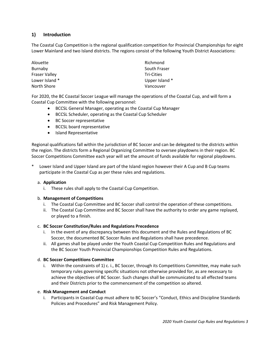## **1) Introduction**

The Coastal Cup Competition is the regional qualification competition for Provincial Championships for eight Lower Mainland and two Island districts. The regions consist of the following Youth District Associations:

| Alouette       | Richmond          |
|----------------|-------------------|
| Burnaby        | South Fraser      |
| Fraser Valley  | <b>Tri-Cities</b> |
| Lower Island * | Upper Island *    |
| North Shore    | Vancouver         |

For 2020, the BC Coastal Soccer League will manage the operations of the Coastal Cup, and will form a Coastal Cup Committee with the following personnel:

- BCCSL General Manager, operating as the Coastal Cup Manager
- BCCSL Scheduler, operating as the Coastal Cup Scheduler
- BC Soccer representative
- BCCSL board representative
- Island Representative

Regional qualifications fall within the jurisdiction of BC Soccer and can be delegated to the districts within the region. The districts form a Regional Organizing Committee to oversee playdowns in their region. BC Soccer Competitions Committee each year will set the amount of funds available for regional playdowns.

Lower Island and Upper Island are part of the Island region however their A Cup and B Cup teams participate in the Coastal Cup as per these rules and regulations.

## a. **Application**

i. These rules shall apply to the Coastal Cup Competition.

## b. **Management of Competitions**

- i. The Coastal Cup Committee and BC Soccer shall control the operation of these competitions.
- ii. The Coastal Cup Committee and BC Soccer shall have the authority to order any game replayed, or played to a finish.

## c. **BC Soccer Constitution/Rules and Regulations Precedence**

- i. In the event of any discrepancy between this document and the Rules and Regulations of BC Soccer, the documented BC Soccer Rules and Regulations shall have precedence.
- ii. All games shall be played under the Youth Coastal Cup Competition Rules and Regulations and the BC Soccer Youth Provincial Championships Competition Rules and Regulations.

#### d. **BC Soccer Competitions Committee**

i. Within the constraints of 1) c. i., BC Soccer, through its Competitions Committee, may make such temporary rules governing specific situations not otherwise provided for, as are necessary to achieve the objectives of BC Soccer. Such changes shall be communicated to all effected teams and their Districts prior to the commencement of the competition so altered.

#### e. **Risk Management and Conduct**

i. Participants in Coastal Cup must adhere to BC Soccer's "Conduct, Ethics and Discipline Standards Policies and Procedures" and Risk Management Policy.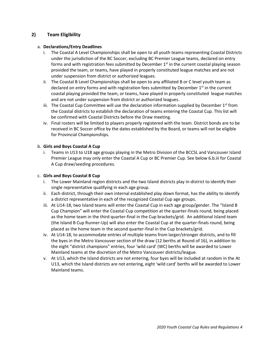## **2) Team Eligibility**

## a. **Declarations/Entry Deadlines**

- i. The Coastal A Level Championships shall be open to all youth teams representing Coastal Districts under the jurisdiction of the BC Soccer, excluding BC Premier League teams, declared on entry forms and with registration fees submitted by December  $1<sup>st</sup>$  in the current coastal playing season provided the team, or teams, have played in properly constituted league matches and are not under suspension from district or authorized leagues.
- ii. The Coastal B Level Championships shall be open to any affiliated B or C level youth team as declared on entry forms and with registration fees submitted by December  $1<sup>st</sup>$  in the current coastal playing provided the team, or teams, have played in properly constituted league matches and are not under suspension from district or authorized leagues.
- iii. The Coastal Cup Committee will use the declaration information supplied by December  $1<sup>st</sup>$  from the Coastal districts to establish the declaration of teams entering the Coastal Cup. This list will be confirmed with Coastal Districts before the Draw meeting.
- iv. Final rosters will be limited to players properly registered with the team. District bonds are to be received in BC Soccer office by the dates established by the Board, or teams will not be eligible for Provincial Championships.

## b. **Girls and Boys Coastal A Cup**

i. Teams in U13 to U18 age groups playing in the Metro Division of the BCCSL and Vancouver Island Premier League may only enter the Coastal A Cup or BC Premier Cup. See below 6.b.iii for Coastal A Cup draw/seeding procedures.

## c. **Girls and Boys Coastal B Cup**

- i. The Lower Mainland region districts and the two Island districts play in-district to identify their single representative qualifying in each age group.
- ii. Each district, through their own internal established play down format, has the ability to identify a district representative in each of the recognized Coastal Cup age groups.
- iii. At U14-18, two Island teams will enter the Coastal Cup in each age group/gender. The "Island B Cup Champion" will enter the Coastal Cup competition at the quarter-finals round, being placed as the home team in the third quarter-final in the Cup brackets/grid. An additional Island team (the Island B Cup Runner-Up) will also enter the Coastal Cup at the quarter-finals round, being placed as the home team in the second quarter-final in the Cup brackets/grid.
- iv. At U14-18, to accommodate entries of multiple teams from larger/stronger districts, and to fill the byes in the Metro Vancouver section of the draw (12 berths at Round of 16), in addition to the eight "district champions" entries, four 'wild card' (WC) berths will be awarded to Lower Mainland teams at the discretion of the Metro Vancouver districts/league.
- v. At U13, which the Island districts are not entering, four byes will be included at random in the At U13, which the Island districts are not entering, eight 'wild card' berths will be awarded to Lower Mainland teams.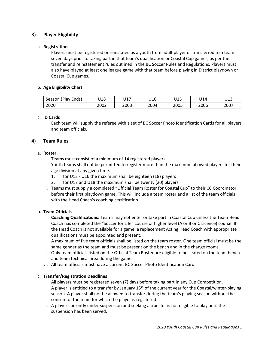## **3) Player Eligibility**

## a. **Registration**

i. Players must be registered or reinstated as a youth from adult player or transferred to a team seven days prior to taking part in that team's qualification or Coastal Cup games, as per the transfer and reinstatement rules outlined in the BC Soccer Rules and Regulations. Players must also have played at least one league game with that team before playing in District playdown or Coastal Cup games.

#### b. **Age Eligibility Chart**

| (Play Ends)<br>Season | U18  | U17  | U16  | 14 F<br>ulu | U14  | U13  |
|-----------------------|------|------|------|-------------|------|------|
| 2020                  | 2002 | 2003 | 2004 | 2005        | 2006 | 2007 |

#### c. **ID Cards**

i. Each team will supply the referee with a set of BC Soccer Photo Identification Cards for all players and team officials.

## **4) Team Rules**

#### a. **Roster**

- i. Teams must consist of a minimum of 14 registered players.
- ii. Youth teams shall not be permitted to register more than the maximum allowed players for their age division at any given time.
	- 1. for U13 U16 the maximum shall be eighteen (18) players
	- 2. for U17 and U18 the maximum shall be twenty (20) players
- iii. Teams must supply a completed "Official Team Roster for Coastal Cup" to their CC Coordinator before their first playdown game. This will include a team roster and a list of the team officials with the Head Coach's coaching certification.

## b. **Team Officials**

- i. **Coaching Qualifications:** Teams may not enter or take part in Coastal Cup unless the Team Head Coach has completed the "Soccer for Life" course or higher level (A or B or C Licence) course. If the Head Coach is not available for a game, a replacement Acting Head Coach with appropriate qualifications must be appointed and present.
- ii. A maximum of five team officials shall be listed on the team roster. One team official must be the same gender as the team and must be present on the bench and in the change rooms.
- iii. Only team officials listed on the Official Team Roster are eligible to be seated on the team bench and team technical area during the game.
- vi. All team officials must have a current BC Soccer Photo Identification Card.

## c. **Transfer/Registration Deadlines**

- i. All players must be registered seven (7) days before taking part in any Cup Competition.
- ii. A player is entitled to a transfer by January  $15<sup>th</sup>$  of the current year for the Coastal/winter-playing season. A player shall not be allowed to transfer during the team's playing season without the consent of the team for which the player is registered.
- iii. A player currently under suspension and seeking a transfer is not eligible to play until the suspension has been served.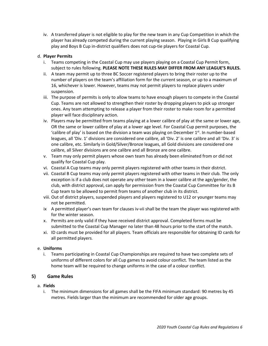iv. A transferred player is not eligible to play for the new team in any Cup Competition in which the player has already competed during the current playing season. Playing in Girls B Cup qualifying play and Boys B Cup in-district qualifiers does not cup-tie players for Coastal Cup.

## d. **Player Permits**

- i. Teams competing in the Coastal Cup may use players playing on a Coastal Cup Permit form, subject to rules following. **PLEASE NOTE THESE RULES MAY DIFFER FROM ANY LEAGUE'S RULES.**
- ii. A team may permit up to three BC Soccer registered players to bring their roster up to the number of players on the team's affiliation form for the current season, or up to a maximum of 16, whichever is lower. However, teams may not permit players to replace players under suspension.
- iii. The purpose of permits is only to allow teams to have enough players to compete in the Coastal Cup. Teams are not allowed to strengthen their roster by dropping players to pick up stronger ones. Any team attempting to release a player from their roster to make room for a permitted player will face disciplinary action.
- iv. Players may be permitted from teams playing at a lower calibre of play at the same or lower age, OR the same or lower calibre of play at a lower age level. For Coastal Cup permit purposes, the 'calibre of play' is based on the division a team was playing on December  $1<sup>st</sup>$ . In number-based leagues, all 'Div. 1' divisions are considered one calibre, all 'Div. 2' is one calibre and all 'Div. 3' is one calibre, etc. Similarly in Gold/Silver/Bronze leagues, all Gold divisions are considered one calibre, all Silver divisions are one calibre and all Bronze are one calibre.
- v. Team may only permit players whose own team has already been eliminated from or did not qualify for Coastal Cup play.
- vi. Coastal A Cup teams may only permit players registered with other teams in their district.
- vii. Coastal B Cup teams may only permit players registered with other teams in their club. The only exception is if a club does not operate any other team in a lower calibre at the age/gender, the club, with district approval, can apply for permission from the Coastal Cup Committee for its B Cup team to be allowed to permit from teams of another club in its district.
- viii. Out of district players, suspended players and players registered to U12 or younger teams may not be permitted.
- ix A permitted player's own team for clauses iv-vii shall be the team the player was registered with for the winter season.
- x. Permits are only valid if they have received district approval. Completed forms must be submitted to the Coastal Cup Manager no later than 48 hours prior to the start of the match.
- xi. ID cards must be provided for all players. Team officials are responsible for obtaining ID cards for all permitted players.

## e. **Uniforms**

i. Teams participating in Coastal Cup Championships are required to have two complete sets of uniforms of different colors for all Cup games to avoid colour conflict. The team listed as the home team will be required to change uniforms in the case of a colour conflict.

## **5) Game Rules**

## a. **Fields**

i. The minimum dimensions for all games shall be the FIFA minimum standard: 90 metres by 45 metres. Fields larger than the minimum are recommended for older age groups.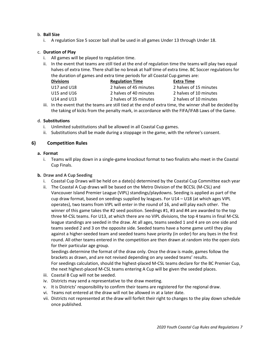## b. **Ball Size**

i. A regulation Size 5 soccer ball shall be used in all games Under 13 through Under 18.

#### c. **Duration of Play**

- i. All games will be played to regulation time.
- ii. In the event that teams are still tied at the end of regulation time the teams will play two equal halves of extra time. There shall be no break at half time of extra time. BC Soccer regulations for the duration of games and extra time periods for all Coastal Cup games are:

| <b>Divisions</b> | <b>Regulation Time</b> | Extra Time             |
|------------------|------------------------|------------------------|
| U17 and U18      | 2 halves of 45 minutes | 2 halves of 15 minutes |
| U15 and U16      | 2 halves of 40 minutes | 2 halves of 10 minutes |
| U14 and U13      | 2 halves of 35 minutes | 2 halves of 10 minutes |

iii. In the event that the teams are still tied at the end of extra time, the winner shall be decided by the taking of kicks from the penalty mark, in accordance with the FIFA/IFAB Laws of the Game.

#### d. **Substitutions**

- i. Unlimited substitutions shall be allowed in all Coastal Cup games.
- ii. Substitutions shall be made during a stoppage in the game, with the referee's consent.

## **6) Competition Rules**

#### **a. Format**

i. Teams will play down in a single-game knockout format to two finalists who meet in the Coastal Cup Finals.

#### **b. Draw and A Cup Seeding**

- i. Coastal Cup Draws will be held on a date(s) determined by the Coastal Cup Committee each year
- ii. The Coastal A Cup draws will be based on the Metro Division of the BCCSL (M-CSL) and Vancouver Island Premier League (VIPL) standings/playdowns. Seeding is applied as part of the cup draw format, based on seedings supplied by leagues. For U14 – U18 (at which ages VIPL operates), two teams from VIPL will enter in the round of 16, and will play each other. The winner of this game takes the #2 seed position. Seedings #1, #3 and #4 are awarded to the top three M-CSL teams. For U13, at which there are no VIPL divisions, the top 4 teams in final M-CSL league standings are seeded in the draw. At all ages, teams seeded 1 and 4 are on one side and teams seeded 2 and 3 on the opposite side. Seeded teams have a home game until they play against a higher-seeded team and seeded teams have priority (in order) for any byes in the first round. All other teams entered in the competition are then drawn at random into the open slots for their particular age group.

Seedings determine the format of the draw only. Once the draw is made, games follow the brackets as drawn, and are not revised depending on any seeded teams' results. For seedings calculation, should the highest-placed M-CSL teams declare for the BC Premier Cup, the next highest-placed M-CSL teams entering A Cup will be given the seeded places.

- iii. Coastal B Cup will not be seeded.
- iv. Districts may send a representative to the draw meeting.
- v. It is Districts' responsibility to confirm their teams are registered for the regional draw.
- vi. Teams not entered at the draw will not be allowed in at a later date.
- vii. Districts not represented at the draw will forfeit their right to changes to the play down schedule once published.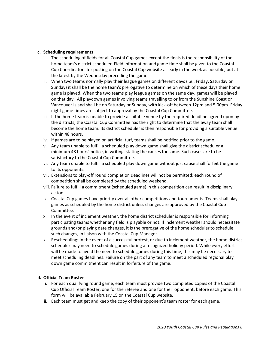#### **c. Scheduling requirements**

- i. The scheduling of fields for all Coastal Cup games except the finals is the responsibility of the home team's district scheduler. Field information and game time shall be given to the Coastal Cup Coordinators for posting on the Coastal Cup website as early in the week as possible, but at the latest by the Wednesday preceding the game.
- ii. When two teams normally play their league games on different days (i.e., Friday, Saturday or Sunday) it shall be the home team's prerogative to determine on which of these days their home game is played. When the two teams play league games on the same day, games will be played on that day. All playdown games involving teams travelling to or from the Sunshine Coast or Vancouver Island shall be on Saturday or Sunday, with kick-off between 12pm and 5:00pm. Friday night game times are subject to approval by the Coastal Cup Committee.
- iii. If the home team is unable to provide a suitable venue by the required deadline agreed upon by the districts, the Coastal Cup Committee has the right to determine that the away team shall become the home team. Its district scheduler is then responsible for providing a suitable venue within 48 hours.
- iv. If games are to be played on artificial turf, teams shall be notified prior to the game.
- v. Any team unable to fulfill a scheduled play down game shall give the district scheduler a minimum 48 hours' notice, in writing, stating the causes for same. Such cases are to be satisfactory to the Coastal Cup Committee.
- vi. Any team unable to fulfill a scheduled play down game without just cause shall forfeit the game to its opponents.
- vii. Extensions to play-off round completion deadlines will not be permitted; each round of competition shall be completed by the scheduled weekend.
- viii. Failure to fulfill a commitment (scheduled game) in this competition can result in disciplinary action.
- ix. Coastal Cup games have priority over all other competitions and tournaments. Teams shall play games as scheduled by the home district unless changes are approved by the Coastal Cup Committee.
- x. In the event of inclement weather, the home district scheduler is responsible for informing participating teams whether any field is playable or not. If inclement weather should necessitate grounds and/or playing date changes, it is the prerogative of the home scheduler to schedule such changes, in liaison with the Coastal Cup Manager.
- xi. Rescheduling: In the event of a successful protest, or due to inclement weather, the home district scheduler may need to schedule games during a recognized holiday period. While every effort will be made to avoid the need to schedule games during this time, this may be necessary to meet scheduling deadlines. Failure on the part of any team to meet a scheduled regional play down game commitment can result in forfeiture of the game.

## **d. Official Team Roster**

- i. For each qualifying round game, each team must provide two completed copies of the Coastal Cup Official Team Roster, one for the referee and one for their opponent, before each game. This form will be available February 15 on the Coastal Cup website.
- ii. Each team must get and keep the copy of their opponent's team roster for each game.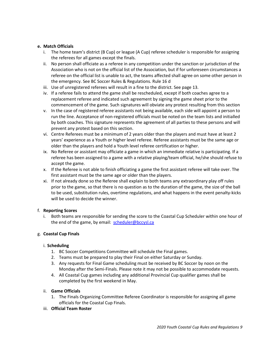## **e. Match Officials**

- i. The home team's district (B Cup) or league (A Cup) referee scheduler is responsible for assigning the referees for all games except the finals.
- ii. No person shall officiate as a referee in any competition under the sanction or jurisdiction of the Association who is not on the official list of the Association, but if for unforeseen circumstances a referee on the official list is unable to act, the teams affected shall agree on some other person in the emergency. See BC Soccer Rules & Regulations. Rule 16 d
- iii. Use of unregistered referees will result in a fine to the district. See page 13.
- iv. If a referee fails to attend the game shall be rescheduled, except if both coaches agree to a replacement referee and indicated such agreement by signing the game sheet prior to the commencement of the game. Such signatures will obviate any protest resulting from this section
- v. In the case of registered referee assistants not being available, each side will appoint a person to run the line. Acceptance of non-registered officials must be noted on the team lists and initialled by both coaches. This signature represents the agreement of all parties to these persons and will prevent any protest based on this section.
- vi. Centre Referees must be a minimum of 2 years older than the players and must have at least 2 years' experience as a Youth or higher level referee. Referee assistants must be the same age or older than the players and hold a Youth level referee certification or higher.
- ix. No Referee or assistant may officiate a game in which an immediate relative is participating. If a referee has been assigned to a game with a relative playing/team official, he/she should refuse to accept the game.
- x. If the Referee is not able to finish officiating a game the first assistant referee will take over. The first assistant must be the same age or older than the players.
- xi. If not already done so the Referee shall explain to both teams any extraordinary play off rules prior to the game, so that there is no question as to the duration of the game, the size of the ball to be used, substitution rules, overtime regulations, and what happens in the event penalty-kicks will be used to decide the winner.

## f. **Reporting Scores**

i. Both teams are responsible for sending the score to the Coastal Cup Scheduler within one hour of the end of the game, by email: [scheduler@bccysl.ca](mailto:scheduler@bccysl.ca)

## g. **Coastal Cup Finals**

## i. **Scheduling**

- 1. BC Soccer Competitions Committee will schedule the Final games.
- 2. Teams must be prepared to play their Final on either Saturday or Sunday.
- 3. Any requests for Final Game scheduling must be received by BC Soccer by noon on the Monday after the Semi-Finals. Please note it may not be possible to accommodate requests.
- 4. All Coastal Cup games including any additional Provincial Cup qualifier games shall be completed by the first weekend in May.

## ii. **Game Officials**

- 1. The Finals Organizing Committee Referee Coordinator is responsible for assigning all game officials for the Coastal Cup Finals.
- iii. **Official Team Roster**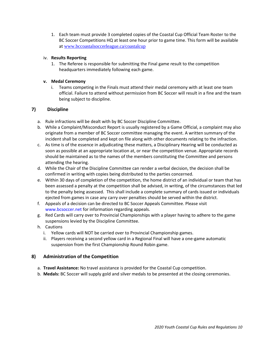1. Each team must provide 3 completed copies of the Coastal Cup Official Team Roster to the BC Soccer Competitions HQ at least one hour prior to game time. This form will be available at [www.bccoastalsoccerleague.ca/coastalcup](http://www.bccoastalsoccerleague.ca/coastalcup)

## iv. **Results Reporting**

1. The Referee is responsible for submitting the Final game result to the competition headquarters immediately following each game.

## **v. Medal Ceremony**

i. Teams competing in the Finals must attend their medal ceremony with at least one team official. Failure to attend without permission from BC Soccer will result in a fine and the team being subject to discipline.

## **7) Discipline**

- a. Rule infractions will be dealt with by BC Soccer Discipline Committee.
- b. While a Complaint/Misconduct Report is usually registered by a Game Official, a complaint may also originate from a member of BC Soccer committee managing the event. A written summary of the incident shall be completed and kept on file along with other documents relating to the infraction.
- c. As time is of the essence in adjudicating these matters, a Disciplinary Hearing will be conducted as soon as possible at an appropriate location at, or near the competition venue. Appropriate records should be maintained as to the names of the members constituting the Committee and persons attending the hearing.
- d. While the Chair of the Discipline Committee can render a verbal decision, the decision shall be confirmed in writing with copies being distributed to the parties concerned.
- e. Within 30 days of completion of the competition, the home district of an individual or team that has been assessed a penalty at the competition shall be advised, in writing, of the circumstances that led to the penalty being assessed. This shall include a complete summary of cards issued or individuals ejected from games in case any carry over penalties should be served within the district.
- f. Appeals of a decision can be directed to BC Soccer Appeals Committee. Please visit www.bcsoccer.net for information regarding appeals.
- g. Red Cards will carry over to Provincial Championships with a player having to adhere to the game suspensions levied by the Discipline Committee.
- h. Cautions
	- i. Yellow cards will NOT be carried over to Provincial Championship games.
	- ii. Players receiving a second yellow card in a Regional Final will have a one-game automatic suspension from the first Championship Round Robin game.

## **8) Administration of the Competition**

- a. **Travel Assistance:** No travel assistance is provided for the Coastal Cup competition.
- b. **Medals:** BC Soccer will supply gold and silver medals to be presented at the closing ceremonies.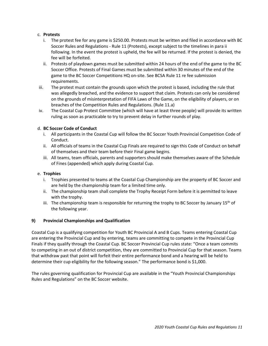## c. **Protests**

- i. The protest fee for any game is \$250.00. Protests must be written and filed in accordance with BC Soccer Rules and Regulations - Rule 11 (Protests), except subject to the timelines in para ii following. In the event the protest is upheld, the fee will be returned. If the protest is denied, the fee will be forfeited.
- ii. Protests of playdown games must be submitted within 24 hours of the end of the game to the BC Soccer Office. Protests of Final Games must be submitted within 30 minutes of the end of the game to the BC Soccer Competitions HQ on-site. See BCSA Rule 11 re fee submission requirements.
- iii. The protest must contain the grounds upon which the protest is based, including the rule that was allegedly breached, and the evidence to support that claim. Protests can only be considered on the grounds of misinterpretation of FIFA Laws of the Game, on the eligibility of players, or on breaches of the Competition Rules and Regulations. (Rule 11.a)
- iv. The Coastal Cup Protest Committee (which will have at least three people) will provide its written ruling as soon as practicable to try to prevent delay in further rounds of play.

## d. **BC Soccer Code of Conduct**

- i. All participants in the Coastal Cup will follow the BC Soccer Youth Provincial Competition Code of Conduct.
- ii. All officials of teams in the Coastal Cup Finals are required to sign this Code of Conduct on behalf of themselves and their team before their Final game begins.
- iii. All teams, team officials, parents and supporters should make themselves aware of the Schedule of Fines (appended) which apply during Coastal Cup.

## e. **Trophies**

- i. Trophies presented to teams at the Coastal Cup Championship are the property of BC Soccer and are held by the championship team for a limited time only.
- ii. The championship team shall complete the Trophy Receipt Form before it is permitted to leave with the trophy.
- iii. The championship team is responsible for returning the trophy to BC Soccer by January 15<sup>th</sup> of the following year.

## **9) Provincial Championships and Qualification**

Coastal Cup is a qualifying competition for Youth BC Provincial A and B Cups. Teams entering Coastal Cup are entering the Provincial Cup and by entering, teams are committing to compete in the Provincial Cup Finals if they qualify through the Coastal Cup. BC Soccer Provincial Cup rules state: "Once a team commits to competing in an out of district competition, they are committed to Provincial Cup for that season. Teams that withdraw past that point will forfeit their entire performance bond and a hearing will be held to determine their cup eligibility for the following season." The performance bond is \$1,000.

The rules governing qualification for Provincial Cup are available in the "Youth Provincial Championships Rules and Regulations" on the BC Soccer website.